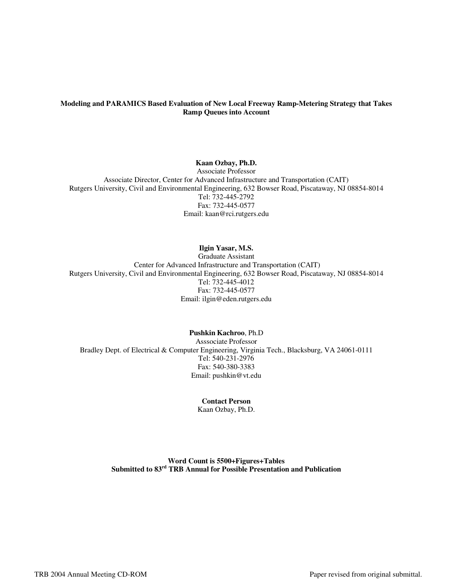#### **Modeling and PARAMICS Based Evaluation of New Local Freeway Ramp-Metering Strategy that Takes Ramp Queues into Account**

### **Kaan Ozbay, Ph.D.**

Associate Professor Associate Director, Center for Advanced Infrastructure and Transportation (CAIT) Rutgers University, Civil and Environmental Engineering, 632 Bowser Road, Piscataway, NJ 08854-8014 Tel: 732-445-2792 Fax: 732-445-0577 Email: kaan@rci.rutgers.edu

## **Ilgin Yasar, M.S.**

Graduate Assistant Center for Advanced Infrastructure and Transportation (CAIT) Rutgers University, Civil and Environmental Engineering, 632 Bowser Road, Piscataway, NJ 08854-8014 Tel: 732-445-4012 Fax: 732-445-0577 Email: ilgin@eden.rutgers.edu

### **Pushkin Kachroo**, Ph.D

Asssociate Professor Bradley Dept. of Electrical & Computer Engineering, Virginia Tech., Blacksburg, VA 24061-0111 Tel: 540-231-2976 Fax: 540-380-3383 Email: pushkin@vt.edu

# **Contact Person**

Kaan Ozbay, Ph.D.

**Word Count is 5500+Figures+Tables Submitted to 83rd TRB Annual for Possible Presentation and Publication**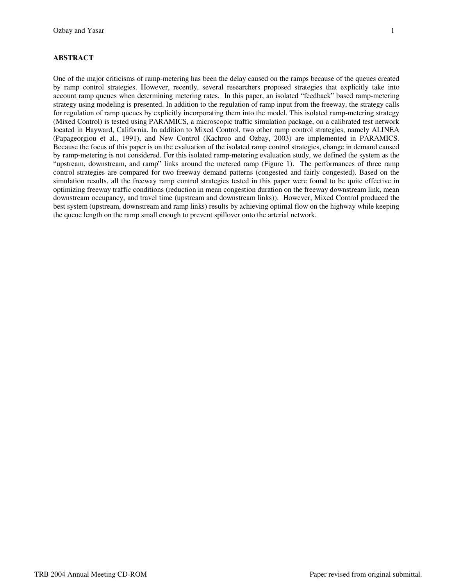## **ABSTRACT**

One of the major criticisms of ramp-metering has been the delay caused on the ramps because of the queues created by ramp control strategies. However, recently, several researchers proposed strategies that explicitly take into account ramp queues when determining metering rates. In this paper, an isolated "feedback" based ramp-metering strategy using modeling is presented. In addition to the regulation of ramp input from the freeway, the strategy calls for regulation of ramp queues by explicitly incorporating them into the model. This isolated ramp-metering strategy (Mixed Control) is tested using PARAMICS, a microscopic traffic simulation package, on a calibrated test network located in Hayward, California. In addition to Mixed Control, two other ramp control strategies, namely ALINEA (Papageorgiou et al., 1991), and New Control (Kachroo and Ozbay, 2003) are implemented in PARAMICS. Because the focus of this paper is on the evaluation of the isolated ramp control strategies, change in demand caused by ramp-metering is not considered. For this isolated ramp-metering evaluation study, we defined the system as the "upstream, downstream, and ramp" links around the metered ramp (Figure 1). The performances of three ramp control strategies are compared for two freeway demand patterns (congested and fairly congested). Based on the simulation results, all the freeway ramp control strategies tested in this paper were found to be quite effective in optimizing freeway traffic conditions (reduction in mean congestion duration on the freeway downstream link, mean downstream occupancy, and travel time (upstream and downstream links)). However, Mixed Control produced the best system (upstream, downstream and ramp links) results by achieving optimal flow on the highway while keeping the queue length on the ramp small enough to prevent spillover onto the arterial network.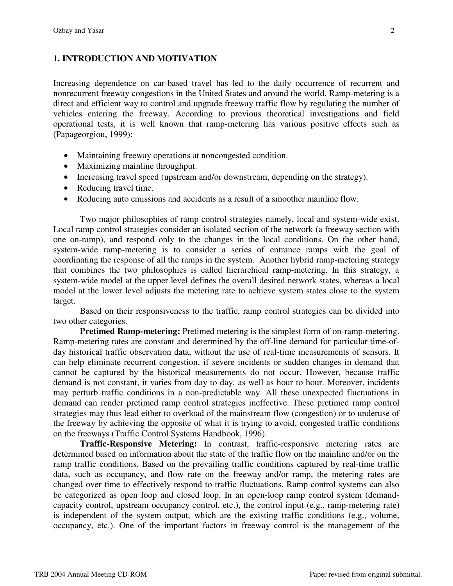## **1. INTRODUCTION AND MOTIVATION**

Increasing dependence on car-based travel has led to the daily occurrence of recurrent and nonrecurrent freeway congestions in the United States and around the world. Ramp-metering is a direct and efficient way to control and upgrade freeway traffic flow by regulating the number of vehicles entering the freeway. According to previous theoretical investigations and field operational tests, it is well known that ramp-metering has various positive effects such as (Papageorgiou, 1999):

- Maintaining freeway operations at noncongested condition.
- Maximizing mainline throughput.
- Increasing travel speed (upstream and/or downstream, depending on the strategy).
- Reducing travel time.
- Reducing auto emissions and accidents as a result of a smoother mainline flow.

Two major philosophies of ramp control strategies namely, local and system-wide exist. Local ramp control strategies consider an isolated section of the network (a freeway section with one on-ramp), and respond only to the changes in the local conditions. On the other hand, system-wide ramp-metering is to consider a series of entrance ramps with the goal of coordinating the response of all the ramps in the system. Another hybrid ramp-metering strategy that combines the two philosophies is called hierarchical ramp-metering. In this strategy, a system-wide model at the upper level defines the overall desired network states, whereas a local model at the lower level adjusts the metering rate to achieve system states close to the system target.

Based on their responsiveness to the traffic, ramp control strategies can be divided into two other categories.

**Pretimed Ramp-metering:** Pretimed metering is the simplest form of on-ramp-metering. Ramp-metering rates are constant and determined by the off-line demand for particular time-ofday historical traffic observation data, without the use of real-time measurements of sensors. It can help eliminate recurrent congestion, if severe incidents or sudden changes in demand that cannot be captured by the historical measurements do not occur. However, because traffic demand is not constant, it varies from day to day, as well as hour to hour. Moreover, incidents may perturb traffic conditions in a non-predictable way. All these unexpected fluctuations in demand can render pretimed ramp control strategies ineffective. These pretimed ramp control strategies may thus lead either to overload of the mainstream flow (congestion) or to underuse of the freeway by achieving the opposite of what it is trying to avoid, congested traffic conditions on the freeways (Traffic Control Systems Handbook, 1996).

**Traffic-Responsive Metering:** In contrast, traffic-responsive metering rates are determined based on information about the state of the traffic flow on the mainline and/or on the ramp traffic conditions. Based on the prevailing traffic conditions captured by real-time traffic data, such as occupancy, and flow rate on the freeway and/or ramp, the metering rates are changed over time to effectively respond to traffic fluctuations. Ramp control systems can also be categorized as open loop and closed loop. In an open-loop ramp control system (demandcapacity control, upstream occupancy control, etc.), the control input (e.g., ramp-metering rate) is independent of the system output, which are the existing traffic conditions (e.g., volume, occupancy, etc.). One of the important factors in freeway control is the management of the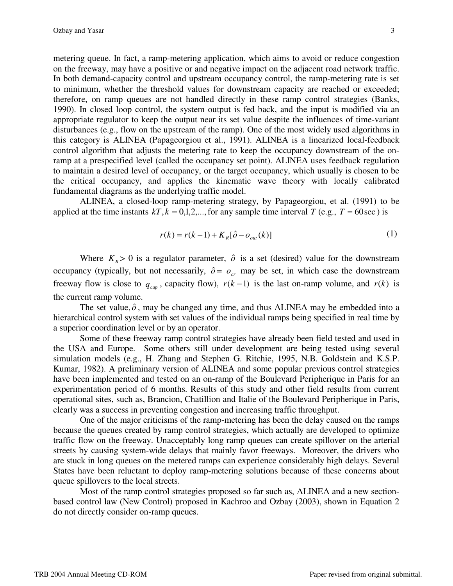metering queue. In fact, a ramp-metering application, which aims to avoid or reduce congestion on the freeway, may have a positive or and negative impact on the adjacent road network traffic. In both demand-capacity control and upstream occupancy control, the ramp-metering rate is set to minimum, whether the threshold values for downstream capacity are reached or exceeded; therefore, on ramp queues are not handled directly in these ramp control strategies (Banks, 1990). In closed loop control, the system output is fed back, and the input is modified via an appropriate regulator to keep the output near its set value despite the influences of time-variant disturbances (e.g., flow on the upstream of the ramp). One of the most widely used algorithms in this category is ALINEA (Papageorgiou et al., 1991). ALINEA is a linearized local-feedback control algorithm that adjusts the metering rate to keep the occupancy downstream of the onramp at a prespecified level (called the occupancy set point). ALINEA uses feedback regulation to maintain a desired level of occupancy, or the target occupancy, which usually is chosen to be the critical occupancy, and applies the kinematic wave theory with locally calibrated fundamental diagrams as the underlying traffic model.

ALINEA, a closed-loop ramp-metering strategy, by Papageorgiou, et al. (1991) to be applied at the time instants  $kT$ ,  $k = 0,1,2,...$ , for any sample time interval *T* (e.g., *T* = 60sec) is

$$
r(k) = r(k-1) + K_R[\hat{o} - o_{out}(k)]
$$
 (1)

Where  $K_R$  > 0 is a regulator parameter,  $\hat{o}$  is a set (desired) value for the downstream occupancy (typically, but not necessarily,  $\hat{\rho} = o_{cr}$  may be set, in which case the downstream freeway flow is close to  $q_{cap}$ , capacity flow),  $r(k-1)$  is the last on-ramp volume, and  $r(k)$  is the current ramp volume.

The set value,  $\hat{\rho}$ , may be changed any time, and thus ALINEA may be embedded into a hierarchical control system with set values of the individual ramps being specified in real time by a superior coordination level or by an operator.

Some of these freeway ramp control strategies have already been field tested and used in the USA and Europe. Some others still under development are being tested using several simulation models (e.g., H. Zhang and Stephen G. Ritchie, 1995, N.B. Goldstein and K.S.P. Kumar, 1982). A preliminary version of ALINEA and some popular previous control strategies have been implemented and tested on an on-ramp of the Boulevard Peripherique in Paris for an experimentation period of 6 months. Results of this study and other field results from current operational sites, such as, Brancion, Chatillion and Italie of the Boulevard Peripherique in Paris, clearly was a success in preventing congestion and increasing traffic throughput.

One of the major criticisms of the ramp-metering has been the delay caused on the ramps because the queues created by ramp control strategies, which actually are developed to optimize traffic flow on the freeway. Unacceptably long ramp queues can create spillover on the arterial streets by causing system-wide delays that mainly favor freeways. Moreover, the drivers who are stuck in long queues on the metered ramps can experience considerably high delays. Several States have been reluctant to deploy ramp-metering solutions because of these concerns about queue spillovers to the local streets.

Most of the ramp control strategies proposed so far such as, ALINEA and a new sectionbased control law (New Control) proposed in Kachroo and Ozbay (2003), shown in Equation 2 do not directly consider on-ramp queues.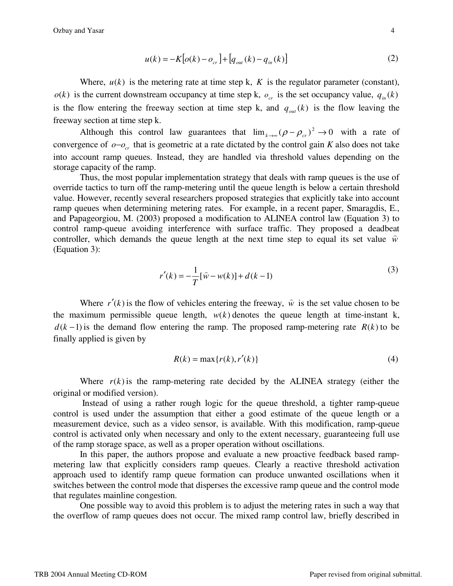$$
u(k) = -K\big[\rho(k) - o_{cr}\big] + \big[q_{out}(k) - q_{in}(k)\big] \tag{2}
$$

Where,  $u(k)$  is the metering rate at time step k, K is the regulator parameter (constant),  $o(k)$  is the current downstream occupancy at time step k,  $o_{cr}$  is the set occupancy value,  $q_{in}(k)$ is the flow entering the freeway section at time step k, and  $q_{out}(k)$  is the flow leaving the freeway section at time step k.

Although this control law guarantees that  $\lim_{k \to \infty} (\rho - \rho_{cr})^2 \to 0$  with a rate of convergence of  $o - o_{cr}$  that is geometric at a rate dictated by the control gain *K* also does not take into account ramp queues. Instead, they are handled via threshold values depending on the storage capacity of the ramp.

Thus, the most popular implementation strategy that deals with ramp queues is the use of override tactics to turn off the ramp-metering until the queue length is below a certain threshold value. However, recently several researchers proposed strategies that explicitly take into account ramp queues when determining metering rates. For example, in a recent paper, Smaragdis, E., and Papageorgiou, M. (2003) proposed a modification to ALINEA control law (Equation 3) to control ramp-queue avoiding interference with surface traffic. They proposed a deadbeat controller, which demands the queue length at the next time step to equal its set value  $\hat{w}$ (Equation 3):

$$
r'(k) = -\frac{1}{T}[\hat{w} - w(k)] + d(k-1)
$$
\n(3)

Where  $r'(k)$  is the flow of vehicles entering the freeway,  $\hat{w}$  is the set value chosen to be the maximum permissible queue length,  $w(k)$  denotes the queue length at time-instant k,  $d(k-1)$  is the demand flow entering the ramp. The proposed ramp-metering rate  $R(k)$  to be finally applied is given by

$$
R(k) = \max\{r(k), r'(k)\}\tag{4}
$$

Where  $r(k)$  is the ramp-metering rate decided by the ALINEA strategy (either the original or modified version).

 Instead of using a rather rough logic for the queue threshold, a tighter ramp-queue control is used under the assumption that either a good estimate of the queue length or a measurement device, such as a video sensor, is available. With this modification, ramp-queue control is activated only when necessary and only to the extent necessary, guaranteeing full use of the ramp storage space, as well as a proper operation without oscillations.

In this paper, the authors propose and evaluate a new proactive feedback based rampmetering law that explicitly considers ramp queues. Clearly a reactive threshold activation approach used to identify ramp queue formation can produce unwanted oscillations when it switches between the control mode that disperses the excessive ramp queue and the control mode that regulates mainline congestion.

One possible way to avoid this problem is to adjust the metering rates in such a way that the overflow of ramp queues does not occur. The mixed ramp control law, briefly described in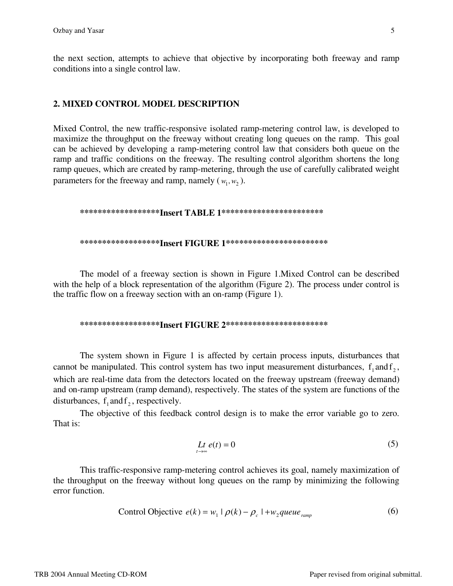the next section, attempts to achieve that objective by incorporating both freeway and ramp conditions into a single control law.

## **2. MIXED CONTROL MODEL DESCRIPTION**

Mixed Control, the new traffic-responsive isolated ramp-metering control law, is developed to maximize the throughput on the freeway without creating long queues on the ramp. This goal can be achieved by developing a ramp-metering control law that considers both queue on the ramp and traffic conditions on the freeway. The resulting control algorithm shortens the long ramp queues, which are created by ramp-metering, through the use of carefully calibrated weight parameters for the freeway and ramp, namely  $(w_1, w_2)$ .

### **\*\*\*\*\*\*\*\*\*\*\*\*\*\*\*\*\*\*Insert TABLE 1\*\*\*\*\*\*\*\*\*\*\*\*\*\*\*\*\*\*\*\*\*\*\***

#### **\*\*\*\*\*\*\*\*\*\*\*\*\*\*\*\*\*\*Insert FIGURE 1\*\*\*\*\*\*\*\*\*\*\*\*\*\*\*\*\*\*\*\*\*\*\***

The model of a freeway section is shown in Figure 1.Mixed Control can be described with the help of a block representation of the algorithm (Figure 2). The process under control is the traffic flow on a freeway section with an on-ramp (Figure 1).

#### **\*\*\*\*\*\*\*\*\*\*\*\*\*\*\*\*\*\*Insert FIGURE 2\*\*\*\*\*\*\*\*\*\*\*\*\*\*\*\*\*\*\*\*\*\*\***

The system shown in Figure 1 is affected by certain process inputs, disturbances that cannot be manipulated. This control system has two input measurement disturbances,  $f_1$  and  $f_2$ , which are real-time data from the detectors located on the freeway upstream (freeway demand) and on-ramp upstream (ramp demand), respectively. The states of the system are functions of the disturbances,  $f_1$  and  $f_2$ , respectively.

The objective of this feedback control design is to make the error variable go to zero. That is:

$$
L t e(t) = 0 \tag{5}
$$

This traffic-responsive ramp-metering control achieves its goal, namely maximization of the throughput on the freeway without long queues on the ramp by minimizing the following error function.

Control Objective 
$$
e(k) = w_1 | \rho(k) - \rho_c | + w_2
$$
 queue <sub>ramp</sub> (6)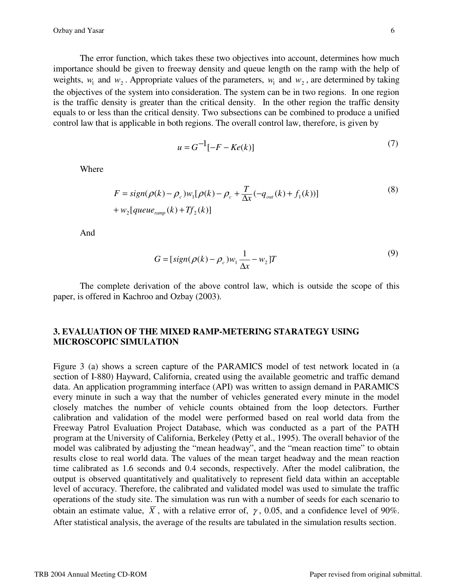The error function, which takes these two objectives into account, determines how much importance should be given to freeway density and queue length on the ramp with the help of weights,  $w_1$  and  $w_2$ . Appropriate values of the parameters,  $w_1$  and  $w_2$ , are determined by taking the objectives of the system into consideration. The system can be in two regions. In one region is the traffic density is greater than the critical density. In the other region the traffic density equals to or less than the critical density. Two subsections can be combined to produce a unified control law that is applicable in both regions. The overall control law, therefore, is given by

$$
u = G^{-1}[-F - Ke(k)]
$$
 (7)

Where

$$
F = sign(\rho(k) - \rho_c)w_1[\rho(k) - \rho_c + \frac{T}{\Delta x}(-q_{out}(k) + f_1(k))]
$$
  
+  $w_2[queue_{ramp}(k) + Tf_2(k)]$  (8)

And

$$
G = [sign(\rho(k) - \rho_c)w_1 \frac{1}{\Delta x} - w_2]T
$$
\n(9)

The complete derivation of the above control law, which is outside the scope of this paper, is offered in Kachroo and Ozbay (2003).

## **3. EVALUATION OF THE MIXED RAMP-METERING STARATEGY USING MICROSCOPIC SIMULATION**

Figure 3 (a) shows a screen capture of the PARAMICS model of test network located in (a section of I-880) Hayward, California, created using the available geometric and traffic demand data. An application programming interface (API) was written to assign demand in PARAMICS every minute in such a way that the number of vehicles generated every minute in the model closely matches the number of vehicle counts obtained from the loop detectors. Further calibration and validation of the model were performed based on real world data from the Freeway Patrol Evaluation Project Database, which was conducted as a part of the PATH program at the University of California, Berkeley (Petty et al., 1995). The overall behavior of the model was calibrated by adjusting the "mean headway", and the "mean reaction time" to obtain results close to real world data. The values of the mean target headway and the mean reaction time calibrated as 1.6 seconds and 0.4 seconds, respectively. After the model calibration, the output is observed quantitatively and qualitatively to represent field data within an acceptable level of accuracy. Therefore, the calibrated and validated model was used to simulate the traffic operations of the study site. The simulation was run with a number of seeds for each scenario to obtain an estimate value,  $\overline{X}$ , with a relative error of,  $\gamma$ , 0.05, and a confidence level of 90%. After statistical analysis, the average of the results are tabulated in the simulation results section.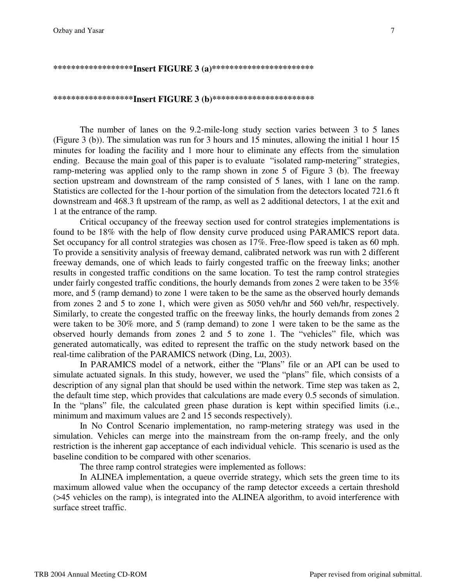Ozbay and Yasar 7

## **\*\*\*\*\*\*\*\*\*\*\*\*\*\*\*\*\*\*Insert FIGURE 3 (a)\*\*\*\*\*\*\*\*\*\*\*\*\*\*\*\*\*\*\*\*\*\*\***

## **\*\*\*\*\*\*\*\*\*\*\*\*\*\*\*\*\*\*Insert FIGURE 3 (b)\*\*\*\*\*\*\*\*\*\*\*\*\*\*\*\*\*\*\*\*\*\*\***

The number of lanes on the 9.2-mile-long study section varies between 3 to 5 lanes (Figure 3 (b)). The simulation was run for 3 hours and 15 minutes, allowing the initial 1 hour 15 minutes for loading the facility and 1 more hour to eliminate any effects from the simulation ending. Because the main goal of this paper is to evaluate "isolated ramp-metering" strategies, ramp-metering was applied only to the ramp shown in zone 5 of Figure 3 (b). The freeway section upstream and downstream of the ramp consisted of 5 lanes, with 1 lane on the ramp. Statistics are collected for the 1-hour portion of the simulation from the detectors located 721.6 ft downstream and 468.3 ft upstream of the ramp, as well as 2 additional detectors, 1 at the exit and 1 at the entrance of the ramp.

Critical occupancy of the freeway section used for control strategies implementations is found to be 18% with the help of flow density curve produced using PARAMICS report data. Set occupancy for all control strategies was chosen as 17%. Free-flow speed is taken as 60 mph. To provide a sensitivity analysis of freeway demand, calibrated network was run with 2 different freeway demands, one of which leads to fairly congested traffic on the freeway links; another results in congested traffic conditions on the same location. To test the ramp control strategies under fairly congested traffic conditions, the hourly demands from zones 2 were taken to be 35% more, and 5 (ramp demand) to zone 1 were taken to be the same as the observed hourly demands from zones 2 and 5 to zone 1, which were given as 5050 veh/hr and 560 veh/hr, respectively. Similarly, to create the congested traffic on the freeway links, the hourly demands from zones 2 were taken to be 30% more, and 5 (ramp demand) to zone 1 were taken to be the same as the observed hourly demands from zones 2 and 5 to zone 1. The "vehicles" file, which was generated automatically, was edited to represent the traffic on the study network based on the real-time calibration of the PARAMICS network (Ding, Lu, 2003).

In PARAMICS model of a network, either the "Plans" file or an API can be used to simulate actuated signals. In this study, however, we used the "plans" file, which consists of a description of any signal plan that should be used within the network. Time step was taken as 2, the default time step, which provides that calculations are made every 0.5 seconds of simulation. In the "plans" file, the calculated green phase duration is kept within specified limits (i.e., minimum and maximum values are 2 and 15 seconds respectively).

In No Control Scenario implementation, no ramp-metering strategy was used in the simulation. Vehicles can merge into the mainstream from the on-ramp freely, and the only restriction is the inherent gap acceptance of each individual vehicle. This scenario is used as the baseline condition to be compared with other scenarios.

The three ramp control strategies were implemented as follows:

In ALINEA implementation, a queue override strategy, which sets the green time to its maximum allowed value when the occupancy of the ramp detector exceeds a certain threshold (>45 vehicles on the ramp), is integrated into the ALINEA algorithm, to avoid interference with surface street traffic.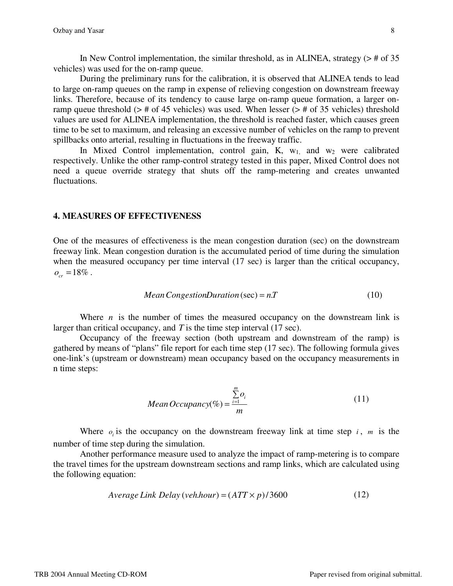In New Control implementation, the similar threshold, as in ALINEA, strategy  $(>\#$  of 35 vehicles) was used for the on-ramp queue.

During the preliminary runs for the calibration, it is observed that ALINEA tends to lead to large on-ramp queues on the ramp in expense of relieving congestion on downstream freeway links. Therefore, because of its tendency to cause large on-ramp queue formation, a larger onramp queue threshold ( $>$  # of 45 vehicles) was used. When lesser ( $>$  # of 35 vehicles) threshold values are used for ALINEA implementation, the threshold is reached faster, which causes green time to be set to maximum, and releasing an excessive number of vehicles on the ramp to prevent spillbacks onto arterial, resulting in fluctuations in the freeway traffic.

In Mixed Control implementation, control gain, K,  $w_1$  and  $w_2$  were calibrated respectively. Unlike the other ramp-control strategy tested in this paper, Mixed Control does not need a queue override strategy that shuts off the ramp-metering and creates unwanted fluctuations.

### **4. MEASURES OF EFFECTIVENESS**

One of the measures of effectiveness is the mean congestion duration (sec) on the downstream freeway link. Mean congestion duration is the accumulated period of time during the simulation when the measured occupancy per time interval (17 sec) is larger than the critical occupancy,  $o_{cr} = 18\%$ .

Mean CongestionDuration (sec) = 
$$
n
$$
. $T$  (10)

Where  $n$  is the number of times the measured occupancy on the downstream link is larger than critical occupancy, and *T* is the time step interval (17 sec).

Occupancy of the freeway section (both upstream and downstream of the ramp) is gathered by means of "plans" file report for each time step (17 sec). The following formula gives one-link's (upstream or downstream) mean occupancy based on the occupancy measurements in n time steps:

Mean Occupancy(
$$
\%
$$
) =  $\frac{\sum_{i=1}^{m} o_i}{m}$  (11)

Where  $o_i$  is the occupancy on the downstream freeway link at time step *i*, *m* is the number of time step during the simulation.

Another performance measure used to analyze the impact of ramp-metering is to compare the travel times for the upstream downstream sections and ramp links, which are calculated using the following equation:

$$
Average Link Delay (veh.hour) = (ATT \times p) / 3600 \tag{12}
$$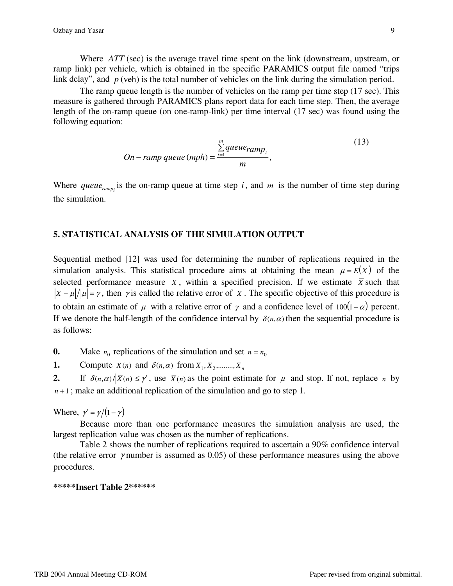Where *ATT* (sec) is the average travel time spent on the link (downstream, upstream, or ramp link) per vehicle, which is obtained in the specific PARAMICS output file named "trips link delay", and *p* (veh) is the total number of vehicles on the link during the simulation period.

The ramp queue length is the number of vehicles on the ramp per time step (17 sec). This measure is gathered through PARAMICS plans report data for each time step. Then, the average length of the on-ramp queue (on one-ramp-link) per time interval (17 sec) was found using the following equation:

On - ramp queue (mph) = 
$$
\frac{\sum_{i=1}^{m} queue_{ramp_i}}{m}
$$
, (13)

Where *queue<sub>ramp<sub>i</sub>* is the on-ramp queue at time step *i*, and *m* is the number of time step during</sub> the simulation.

## **5. STATISTICAL ANALYSIS OF THE SIMULATION OUTPUT**

Sequential method [12] was used for determining the number of replications required in the simulation analysis. This statistical procedure aims at obtaining the mean  $\mu = E(X)$  of the selected performance measure *X*, within a specified precision. If we estimate  $\bar{X}$  such that  $|\bar{x} - \mu|/|\mu| = \gamma$ , then  $\gamma$  is called the relative error of  $\bar{x}$ . The specific objective of this procedure is to obtain an estimate of  $\mu$  with a relative error of  $\gamma$  and a confidence level of 100(1 –  $\alpha$ ) percent. If we denote the half-length of the confidence interval by  $\delta(n,\alpha)$  then the sequential procedure is as follows:

**0.** Make  $n_0$  replications of the simulation and set  $n = n_0$ 

**1.** Compute  $\overline{X}(n)$  and  $\delta(n,\alpha)$  from  $X_1, X_2, \dots, X_n$ 

**2.** If  $\delta(n,\alpha)/|\overline{X}(n)| \leq \gamma'$ , use  $\overline{X}(n)$  as the point estimate for  $\mu$  and stop. If not, replace *n* by  $n+1$ ; make an additional replication of the simulation and go to step 1.

Where,  $\gamma' = \gamma/(1-\gamma)$ 

Because more than one performance measures the simulation analysis are used, the largest replication value was chosen as the number of replications.

Table 2 shows the number of replications required to ascertain a 90% confidence interval (the relative error  $\gamma$  number is assumed as 0.05) of these performance measures using the above procedures.

### **\*\*\*\*\*Insert Table 2\*\*\*\*\*\***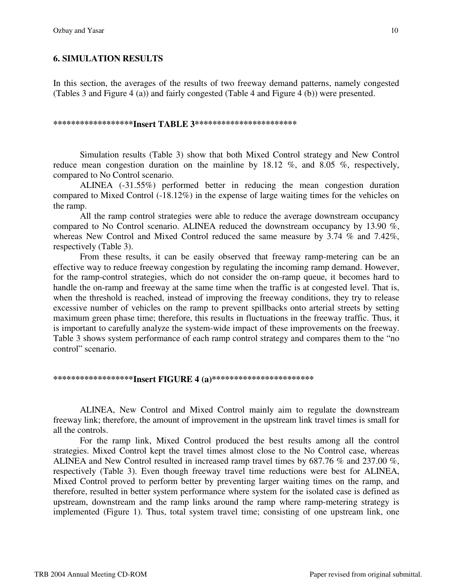## **6. SIMULATION RESULTS**

In this section, the averages of the results of two freeway demand patterns, namely congested (Tables 3 and Figure 4 (a)) and fairly congested (Table 4 and Figure 4 (b)) were presented.

#### **\*\*\*\*\*\*\*\*\*\*\*\*\*\*\*\*\*\*Insert TABLE 3\*\*\*\*\*\*\*\*\*\*\*\*\*\*\*\*\*\*\*\*\*\*\***

Simulation results (Table 3) show that both Mixed Control strategy and New Control reduce mean congestion duration on the mainline by 18.12 %, and 8.05 %, respectively, compared to No Control scenario.

ALINEA (-31.55%) performed better in reducing the mean congestion duration compared to Mixed Control (-18.12%) in the expense of large waiting times for the vehicles on the ramp.

All the ramp control strategies were able to reduce the average downstream occupancy compared to No Control scenario. ALINEA reduced the downstream occupancy by 13.90 %, whereas New Control and Mixed Control reduced the same measure by 3.74 % and 7.42%, respectively (Table 3).

From these results, it can be easily observed that freeway ramp-metering can be an effective way to reduce freeway congestion by regulating the incoming ramp demand. However, for the ramp-control strategies, which do not consider the on-ramp queue, it becomes hard to handle the on-ramp and freeway at the same time when the traffic is at congested level. That is, when the threshold is reached, instead of improving the freeway conditions, they try to release excessive number of vehicles on the ramp to prevent spillbacks onto arterial streets by setting maximum green phase time; therefore, this results in fluctuations in the freeway traffic. Thus, it is important to carefully analyze the system-wide impact of these improvements on the freeway. Table 3 shows system performance of each ramp control strategy and compares them to the "no control" scenario.

## **\*\*\*\*\*\*\*\*\*\*\*\*\*\*\*\*\*\*Insert FIGURE 4 (a)\*\*\*\*\*\*\*\*\*\*\*\*\*\*\*\*\*\*\*\*\*\*\***

ALINEA, New Control and Mixed Control mainly aim to regulate the downstream freeway link; therefore, the amount of improvement in the upstream link travel times is small for all the controls.

For the ramp link, Mixed Control produced the best results among all the control strategies. Mixed Control kept the travel times almost close to the No Control case, whereas ALINEA and New Control resulted in increased ramp travel times by 687.76 % and 237.00 %, respectively (Table 3). Even though freeway travel time reductions were best for ALINEA, Mixed Control proved to perform better by preventing larger waiting times on the ramp, and therefore, resulted in better system performance where system for the isolated case is defined as upstream, downstream and the ramp links around the ramp where ramp-metering strategy is implemented (Figure 1). Thus, total system travel time; consisting of one upstream link, one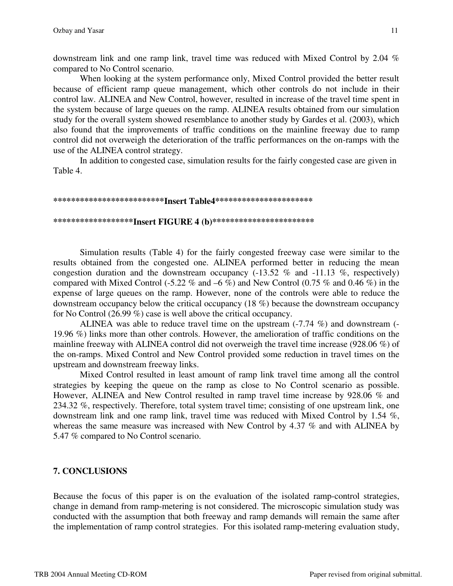downstream link and one ramp link, travel time was reduced with Mixed Control by 2.04 % compared to No Control scenario.

When looking at the system performance only, Mixed Control provided the better result because of efficient ramp queue management, which other controls do not include in their control law. ALINEA and New Control, however, resulted in increase of the travel time spent in the system because of large queues on the ramp. ALINEA results obtained from our simulation study for the overall system showed resemblance to another study by Gardes et al. (2003), which also found that the improvements of traffic conditions on the mainline freeway due to ramp control did not overweigh the deterioration of the traffic performances on the on-ramps with the use of the ALINEA control strategy.

In addition to congested case, simulation results for the fairly congested case are given in Table 4.

#### **\*\*\*\*\*\*\*\*\*\*\*\*\*\*\*\*\*\*\*\*\*\*\*\*\*Insert Table4\*\*\*\*\*\*\*\*\*\*\*\*\*\*\*\*\*\*\*\*\*\***

#### **\*\*\*\*\*\*\*\*\*\*\*\*\*\*\*\*\*\*Insert FIGURE 4 (b)\*\*\*\*\*\*\*\*\*\*\*\*\*\*\*\*\*\*\*\*\*\*\***

Simulation results (Table 4) for the fairly congested freeway case were similar to the results obtained from the congested one. ALINEA performed better in reducing the mean congestion duration and the downstream occupancy  $(-13.52 \%$  and  $-11.13 \%$ , respectively) compared with Mixed Control (-5.22  $\%$  and –6  $\%$ ) and New Control (0.75  $\%$  and 0.46  $\%$ ) in the expense of large queues on the ramp. However, none of the controls were able to reduce the downstream occupancy below the critical occupancy (18 %) because the downstream occupancy for No Control (26.99 %) case is well above the critical occupancy.

ALINEA was able to reduce travel time on the upstream  $(-7.74\%)$  and downstream  $(-7.74\%)$ 19.96 %) links more than other controls. However, the amelioration of traffic conditions on the mainline freeway with ALINEA control did not overweigh the travel time increase (928.06 %) of the on-ramps. Mixed Control and New Control provided some reduction in travel times on the upstream and downstream freeway links.

Mixed Control resulted in least amount of ramp link travel time among all the control strategies by keeping the queue on the ramp as close to No Control scenario as possible. However, ALINEA and New Control resulted in ramp travel time increase by 928.06 % and 234.32 %, respectively. Therefore, total system travel time; consisting of one upstream link, one downstream link and one ramp link, travel time was reduced with Mixed Control by 1.54 %, whereas the same measure was increased with New Control by 4.37 % and with ALINEA by 5.47 % compared to No Control scenario.

## **7. CONCLUSIONS**

Because the focus of this paper is on the evaluation of the isolated ramp-control strategies, change in demand from ramp-metering is not considered. The microscopic simulation study was conducted with the assumption that both freeway and ramp demands will remain the same after the implementation of ramp control strategies. For this isolated ramp-metering evaluation study,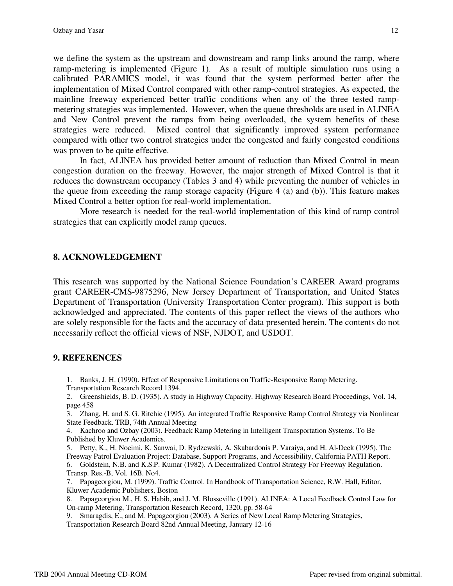we define the system as the upstream and downstream and ramp links around the ramp, where ramp-metering is implemented (Figure 1). As a result of multiple simulation runs using a calibrated PARAMICS model, it was found that the system performed better after the implementation of Mixed Control compared with other ramp-control strategies. As expected, the mainline freeway experienced better traffic conditions when any of the three tested rampmetering strategies was implemented. However, when the queue thresholds are used in ALINEA and New Control prevent the ramps from being overloaded, the system benefits of these strategies were reduced. Mixed control that significantly improved system performance compared with other two control strategies under the congested and fairly congested conditions was proven to be quite effective.

In fact, ALINEA has provided better amount of reduction than Mixed Control in mean congestion duration on the freeway. However, the major strength of Mixed Control is that it reduces the downstream occupancy (Tables 3 and 4) while preventing the number of vehicles in the queue from exceeding the ramp storage capacity (Figure 4 (a) and (b)). This feature makes Mixed Control a better option for real-world implementation.

More research is needed for the real-world implementation of this kind of ramp control strategies that can explicitly model ramp queues.

## **8. ACKNOWLEDGEMENT**

This research was supported by the National Science Foundation's CAREER Award programs grant CAREER-CMS-9875296, New Jersey Department of Transportation, and United States Department of Transportation (University Transportation Center program). This support is both acknowledged and appreciated. The contents of this paper reflect the views of the authors who are solely responsible for the facts and the accuracy of data presented herein. The contents do not necessarily reflect the official views of NSF, NJDOT, and USDOT.

## **9. REFERENCES**

- 1. Banks, J. H. (1990). Effect of Responsive Limitations on Traffic-Responsive Ramp Metering.
- Transportation Research Record 1394.

2. Greenshields, B. D. (1935). A study in Highway Capacity. Highway Research Board Proceedings, Vol. 14, page 458

3. Zhang, H. and S. G. Ritchie (1995). An integrated Traffic Responsive Ramp Control Strategy via Nonlinear State Feedback. TRB, 74th Annual Meeting

4. Kachroo and Ozbay (2003). Feedback Ramp Metering in Intelligent Transportation Systems. To Be Published by Kluwer Academics.

5. Petty, K., H. Noeimi, K. Sanwai, D. Rydzewski, A. Skabardonis P. Varaiya, and H. Al-Deek (1995). The Freeway Patrol Evaluation Project: Database, Support Programs, and Accessibility, California PATH Report. 6. Goldstein, N.B. and K.S.P. Kumar (1982). A Decentralized Control Strategy For Freeway Regulation. Transp. Res.-B, Vol. 16B. No4.

7. Papageorgiou, M. (1999). Traffic Control. In Handbook of Transportation Science, R.W. Hall, Editor, Kluwer Academic Publishers, Boston

8. Papageorgiou M., H. S. Habib, and J. M. Blosseville (1991). ALINEA: A Local Feedback Control Law for On-ramp Metering, Transportation Research Record, 1320, pp. 58-64

9. Smaragdis, E., and M. Papageorgiou (2003). A Series of New Local Ramp Metering Strategies, Transportation Research Board 82nd Annual Meeting, January 12-16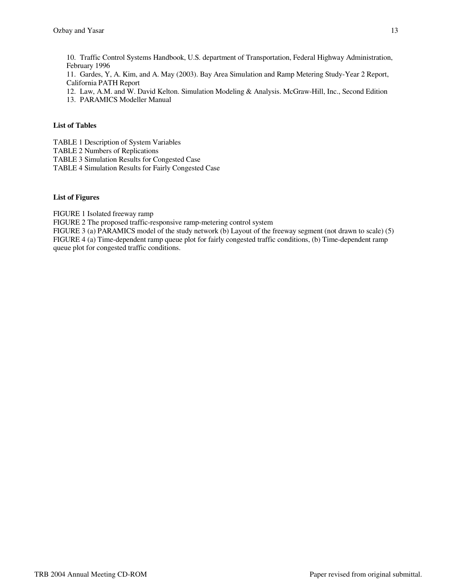10. Traffic Control Systems Handbook, U.S. department of Transportation, Federal Highway Administration, February 1996

11. Gardes, Y, A. Kim, and A. May (2003). Bay Area Simulation and Ramp Metering Study-Year 2 Report, California PATH Report

- 12. Law, A.M. and W. David Kelton. Simulation Modeling & Analysis. McGraw-Hill, Inc., Second Edition
- 13. PARAMICS Modeller Manual

## **List of Tables**

TABLE 1 Description of System Variables

TABLE 2 Numbers of Replications

TABLE 3 Simulation Results for Congested Case

TABLE 4 Simulation Results for Fairly Congested Case

### **List of Figures**

FIGURE 1 Isolated freeway ramp

FIGURE 2 The proposed traffic-responsive ramp-metering control system

FIGURE 3 (a) PARAMICS model of the study network (b) Layout of the freeway segment (not drawn to scale) (5) FIGURE 4 (a) Time-dependent ramp queue plot for fairly congested traffic conditions, (b) Time-dependent ramp queue plot for congested traffic conditions.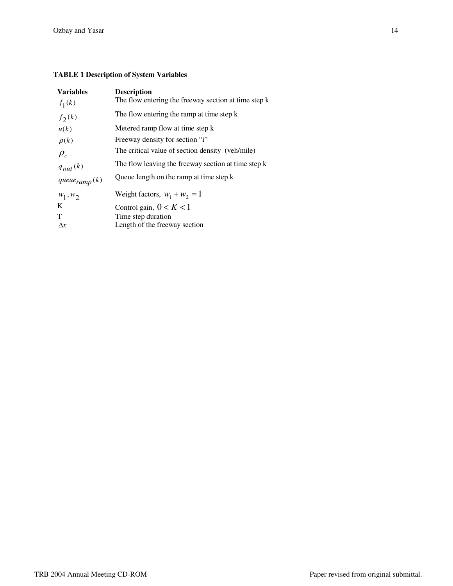## **TABLE 1 Description of System Variables**

| <b>Variables</b>  | <b>Description</b>                                   |
|-------------------|------------------------------------------------------|
| $f_1(k)$          | The flow entering the freeway section at time step k |
| $f_2(k)$          | The flow entering the ramp at time step k            |
| u(k)              | Metered ramp flow at time step k                     |
| $\rho(k)$         | Freeway density for section "i"                      |
| $\rho_c$          | The critical value of section density (veh/mile)     |
| $q_{out}(k)$      | The flow leaving the freeway section at time step k  |
| $queue_{ramp}(k)$ | Queue length on the ramp at time step k              |
| $w_1, w_2$        | Weight factors, $w_1 + w_2 = 1$                      |
| K                 | Control gain, $0 < K < 1$                            |
| T                 | Time step duration                                   |
| $\Delta x$        | Length of the freeway section                        |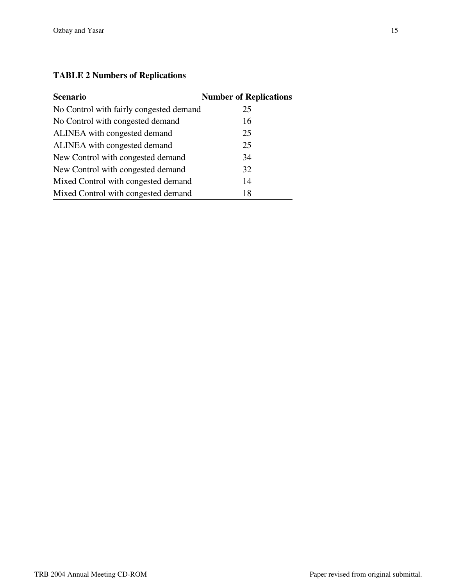# **TABLE 2 Numbers of Replications**

| <b>Scenario</b>                         | <b>Number of Replications</b> |
|-----------------------------------------|-------------------------------|
| No Control with fairly congested demand | 25                            |
| No Control with congested demand        | 16                            |
| ALINEA with congested demand            | 25                            |
| ALINEA with congested demand            | 25                            |
| New Control with congested demand       | 34                            |
| New Control with congested demand       | 32                            |
| Mixed Control with congested demand     | 14                            |
| Mixed Control with congested demand     | 18                            |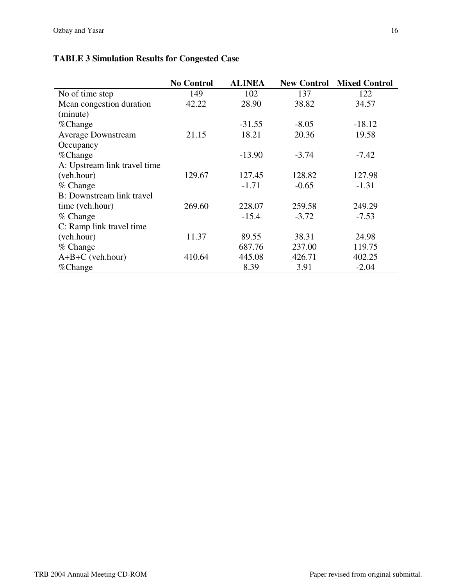# **TABLE 3 Simulation Results for Congested Case**

|                              | <b>No Control</b> | <b>ALINEA</b> | <b>New Control</b> | <b>Mixed Control</b> |
|------------------------------|-------------------|---------------|--------------------|----------------------|
| No of time step              | 149               | 102           | 137                | 122                  |
| Mean congestion duration     | 42.22             | 28.90         | 38.82              | 34.57                |
| (minute)                     |                   |               |                    |                      |
| %Change                      |                   | $-31.55$      | $-8.05$            | $-18.12$             |
| <b>Average Downstream</b>    | 21.15             | 18.21         | 20.36              | 19.58                |
| Occupancy                    |                   |               |                    |                      |
| %Change                      |                   | $-13.90$      | $-3.74$            | $-7.42$              |
| A: Upstream link travel time |                   |               |                    |                      |
| (veh.hour)                   | 129.67            | 127.45        | 128.82             | 127.98               |
| % Change                     |                   | $-1.71$       | $-0.65$            | $-1.31$              |
| B: Downstream link travel    |                   |               |                    |                      |
| time (veh.hour)              | 269.60            | 228.07        | 259.58             | 249.29               |
| $%$ Change                   |                   | $-15.4$       | $-3.72$            | $-7.53$              |
| C: Ramp link travel time     |                   |               |                    |                      |
| (veh.hour)                   | 11.37             | 89.55         | 38.31              | 24.98                |
| $%$ Change                   |                   | 687.76        | 237.00             | 119.75               |
| $A+B+C$ (veh.hour)           | 410.64            | 445.08        | 426.71             | 402.25               |
| %Change                      |                   | 8.39          | 3.91               | $-2.04$              |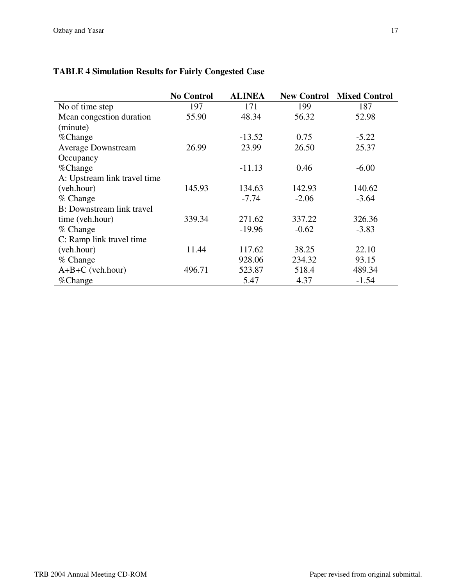|                                   | <b>No Control</b> | <b>ALINEA</b> | <b>New Control</b> | <b>Mixed Control</b> |
|-----------------------------------|-------------------|---------------|--------------------|----------------------|
| No of time step                   | 197               | 171           | 199                | 187                  |
| Mean congestion duration          | 55.90             | 48.34         | 56.32              | 52.98                |
| (minute)                          |                   |               |                    |                      |
| %Change                           |                   | $-13.52$      | 0.75               | $-5.22$              |
| <b>Average Downstream</b>         | 26.99             | 23.99         | 26.50              | 25.37                |
| Occupancy                         |                   |               |                    |                      |
| %Change                           |                   | $-11.13$      | 0.46               | $-6.00$              |
| A: Upstream link travel time      |                   |               |                    |                      |
| (veh.hour)                        | 145.93            | 134.63        | 142.93             | 140.62               |
| % Change                          |                   | $-7.74$       | $-2.06$            | $-3.64$              |
| <b>B</b> : Downstream link travel |                   |               |                    |                      |
| time (veh.hour)                   | 339.34            | 271.62        | 337.22             | 326.36               |
| $%$ Change                        |                   | $-19.96$      | $-0.62$            | $-3.83$              |
| C: Ramp link travel time          |                   |               |                    |                      |
| (veh.hour)                        | 11.44             | 117.62        | 38.25              | 22.10                |
| $%$ Change                        |                   | 928.06        | 234.32             | 93.15                |
| $A+B+C$ (veh.hour)                | 496.71            | 523.87        | 518.4              | 489.34               |
| %Change                           |                   | 5.47          | 4.37               | $-1.54$              |

# **TABLE 4 Simulation Results for Fairly Congested Case**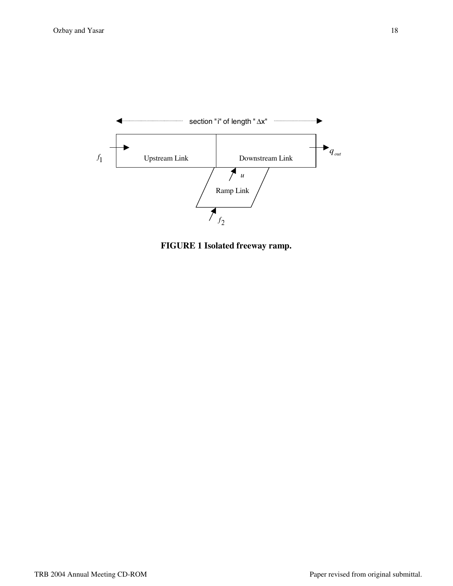

**FIGURE 1 Isolated freeway ramp.**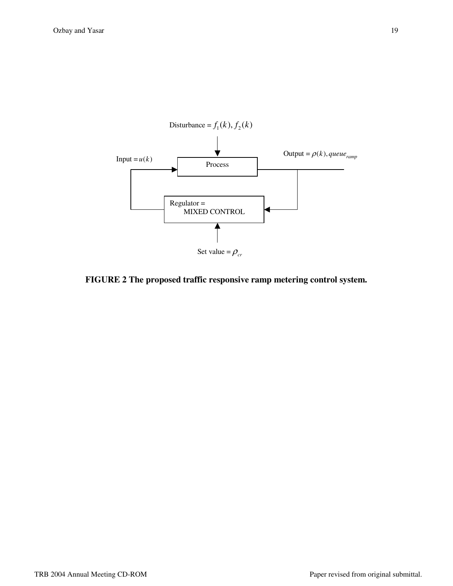

## **FIGURE 2 The proposed traffic responsive ramp metering control system.**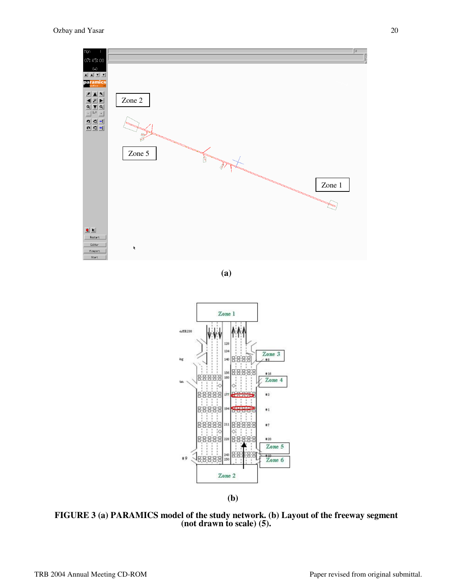

**(a)** 



**(b)** 

**FIGURE 3 (a) PARAMICS model of the study network. (b) Layout of the freeway segment (not drawn to scale) (5).**